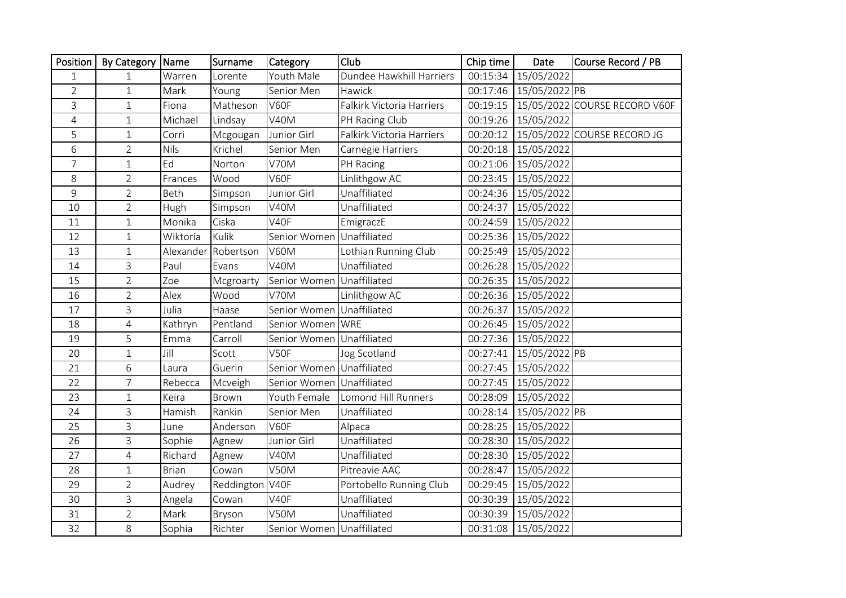| Position       | By Category    | Name         | Surname         | Category                  | Club                      | Chip time | Date                   | Course Record / PB                       |
|----------------|----------------|--------------|-----------------|---------------------------|---------------------------|-----------|------------------------|------------------------------------------|
| $\mathbf{1}$   | $\mathbf{1}$   | Warren       | Lorente         | Youth Male                | Dundee Hawkhill Harriers  |           | 00:15:34 15/05/2022    |                                          |
| $\overline{2}$ | $\mathbf{1}$   | Mark         | Young           | Senior Men                | Hawick                    |           | 00:17:46 15/05/2022 PB |                                          |
| 3              | $\mathbf{1}$   | Fiona        | Matheson        | V60F                      | Falkirk Victoria Harriers |           |                        | 00:19:15   15/05/2022 COURSE RECORD V60F |
| $\overline{4}$ | $\mathbf{1}$   | Michael      | Lindsay         | V40M                      | PH Racing Club            |           | 00:19:26 15/05/2022    |                                          |
| 5              | $\mathbf{1}$   | Corri        | Mcgougan        | Junior Girl               | Falkirk Victoria Harriers |           |                        | 00:20:12 15/05/2022 COURSE RECORD JG     |
| 6              | $\overline{2}$ | <b>Nils</b>  | Krichel         | Senior Men                | Carnegie Harriers         |           | 00:20:18 15/05/2022    |                                          |
| $\overline{7}$ | $\mathbf{1}$   | Ed           | Norton          | V70M                      | PH Racing                 |           | 00:21:06 15/05/2022    |                                          |
| 8              | $\overline{2}$ | Frances      | Wood            | V60F                      | Linlithgow AC             |           | 00:23:45 15/05/2022    |                                          |
| 9              | $\overline{2}$ | Beth         | Simpson         | Junior Girl               | Unaffiliated              |           | 00:24:36 15/05/2022    |                                          |
| 10             | $\overline{2}$ | Hugh         | Simpson         | V40M                      | Unaffiliated              | 00:24:37  | 15/05/2022             |                                          |
| 11             | $\mathbf{1}$   | Monika       | Ciska           | V40F                      | EmigraczE                 | 00:24:59  | 15/05/2022             |                                          |
| 12             | $\mathbf{1}$   | Wiktoria     | Kulik           | Senior Women              | Unaffiliated              | 00:25:36  | 15/05/2022             |                                          |
| 13             | $\mathbf{1}$   | Alexander    | Robertson       | V60M                      | Lothian Running Club      | 00:25:49  | 15/05/2022             |                                          |
| 14             | $\mathsf{3}$   | Paul         | Evans           | V40M                      | Unaffiliated              |           | 00:26:28 15/05/2022    |                                          |
| 15             | $\overline{2}$ | Zoe          | Mcgroarty       | Senior Women Unaffiliated |                           |           | 00:26:35 15/05/2022    |                                          |
| 16             | $\overline{2}$ | Alex         | Wood            | V70M                      | Linlithgow AC             |           | 00:26:36 15/05/2022    |                                          |
| 17             | $\overline{3}$ | Julia        | Haase           | Senior Women Unaffiliated |                           | 00:26:37  | 15/05/2022             |                                          |
| 18             | $\overline{4}$ | Kathryn      | Pentland        | Senior Women WRE          |                           | 00:26:45  | 15/05/2022             |                                          |
| 19             | 5              | Emma         | Carroll         | Senior Women Unaffiliated |                           |           | 00:27:36 15/05/2022    |                                          |
| 20             | $\mathbf{1}$   | Jill         | Scott           | V50F                      | Jog Scotland              | 00:27:41  | 15/05/2022 PB          |                                          |
| 21             | 6              | Laura        | Guerin          | Senior Women Unaffiliated |                           | 00:27:45  | 15/05/2022             |                                          |
| 22             | $\overline{7}$ | Rebecca      | Mcveigh         | Senior Women Unaffiliated |                           | 00:27:45  | 15/05/2022             |                                          |
| 23             | $\mathbf{1}$   | Keira        | <b>Brown</b>    | Youth Female              | Lomond Hill Runners       | 00:28:09  | 15/05/2022             |                                          |
| 24             | $\overline{3}$ | Hamish       | Rankin          | Senior Men                | Unaffiliated              | 00:28:14  | 15/05/2022 PB          |                                          |
| 25             | 3              | June         | Anderson        | V60F                      | Alpaca                    |           | 00:28:25 15/05/2022    |                                          |
| 26             | $\overline{3}$ | Sophie       | Agnew           | Junior Girl               | Unaffiliated              | 00:28:30  | 15/05/2022             |                                          |
| 27             | $\overline{4}$ | Richard      | Agnew           | V40M                      | Unaffiliated              | 00:28:30  | 15/05/2022             |                                          |
| 28             | $\mathbf{1}$   | <b>Brian</b> | Cowan           | <b>V50M</b>               | Pitreavie AAC             | 00:28:47  | 15/05/2022             |                                          |
| 29             | $\overline{2}$ | Audrey       | Reddington V40F |                           | Portobello Running Club   |           | 00:29:45 15/05/2022    |                                          |
| 30             | $\overline{3}$ | Angela       | Cowan           | V40F                      | Unaffiliated              | 00:30:39  | 15/05/2022             |                                          |
| 31             | $\overline{2}$ | Mark         | Bryson          | <b>V50M</b>               | Unaffiliated              | 00:30:39  | 15/05/2022             |                                          |
| 32             | 8              | Sophia       | Richter         | Senior Women Unaffiliated |                           |           | 00:31:08 15/05/2022    |                                          |